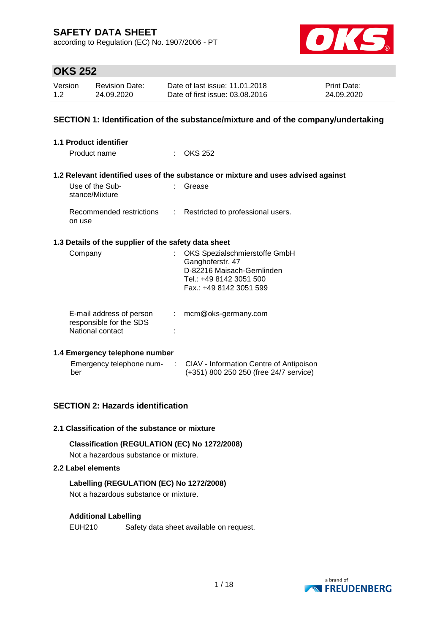according to Regulation (EC) No. 1907/2006 - PT



# **OKS 252**

| Version | <b>Revision Date:</b> | Date of last issue: 11.01.2018  | <b>Print Date:</b> |
|---------|-----------------------|---------------------------------|--------------------|
| 1.2     | 24.09.2020            | Date of first issue: 03.08.2016 | 24.09.2020         |

### **SECTION 1: Identification of the substance/mixture and of the company/undertaking**

| <b>1.1 Product identifier</b>                                           |                           |                                                                                                                                       |
|-------------------------------------------------------------------------|---------------------------|---------------------------------------------------------------------------------------------------------------------------------------|
| Product name                                                            |                           | OKS 252                                                                                                                               |
|                                                                         |                           | 1.2 Relevant identified uses of the substance or mixture and uses advised against                                                     |
| Use of the Sub-<br>stance/Mixture                                       |                           | Grease                                                                                                                                |
| Recommended restrictions<br>on use                                      | $\mathbb{R}^{\mathbb{Z}}$ | Restricted to professional users.                                                                                                     |
| 1.3 Details of the supplier of the safety data sheet                    |                           |                                                                                                                                       |
| Company                                                                 |                           | OKS Spezialschmierstoffe GmbH<br>Ganghoferstr. 47<br>D-82216 Maisach-Gernlinden<br>Tel.: +49 8142 3051 500<br>Fax.: +49 8142 3051 599 |
| E-mail address of person<br>responsible for the SDS<br>National contact | t.                        | mcm@oks-germany.com                                                                                                                   |

### **1.4 Emergency telephone number**

| Emergency telephone num- | CIAV - Information Centre of Antipoison |
|--------------------------|-----------------------------------------|
| ber                      | (+351) 800 250 250 (free 24/7 service)  |

### **SECTION 2: Hazards identification**

### **2.1 Classification of the substance or mixture**

### **Classification (REGULATION (EC) No 1272/2008)**

Not a hazardous substance or mixture.

### **2.2 Label elements**

### **Labelling (REGULATION (EC) No 1272/2008)**

Not a hazardous substance or mixture.

### **Additional Labelling**

EUH210 Safety data sheet available on request.

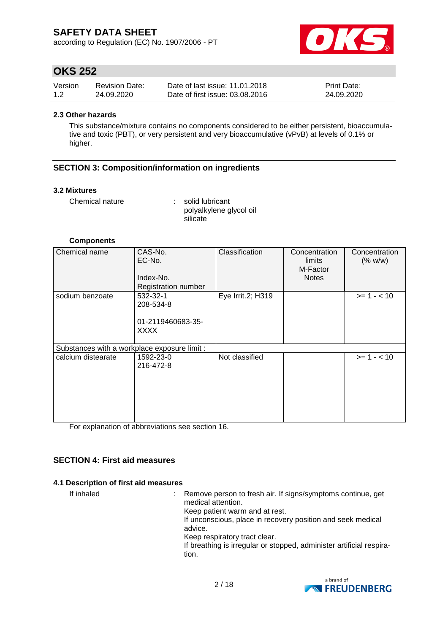according to Regulation (EC) No. 1907/2006 - PT



# **OKS 252**

| Version | <b>Revision Date:</b> | Date of last issue: 11.01.2018  | <b>Print Date:</b> |
|---------|-----------------------|---------------------------------|--------------------|
| 1.2     | 24.09.2020            | Date of first issue: 03.08.2016 | 24.09.2020         |

#### **2.3 Other hazards**

This substance/mixture contains no components considered to be either persistent, bioaccumulative and toxic (PBT), or very persistent and very bioaccumulative (vPvB) at levels of 0.1% or higher.

### **SECTION 3: Composition/information on ingredients**

#### **3.2 Mixtures**

Chemical nature : solid lubricant polyalkylene glycol oil silicate

#### **Components**

| Chemical name      | CAS-No.<br>EC-No.<br>Index-No.<br><b>Registration number</b> | Classification    | Concentration<br>limits<br>M-Factor<br><b>Notes</b> | Concentration<br>(% w/w) |  |  |  |  |
|--------------------|--------------------------------------------------------------|-------------------|-----------------------------------------------------|--------------------------|--|--|--|--|
| sodium benzoate    | 532-32-1<br>208-534-8<br>01-2119460683-35-<br><b>XXXX</b>    | Eye Irrit.2; H319 |                                                     | $>= 1 - 10$              |  |  |  |  |
|                    | Substances with a workplace exposure limit :                 |                   |                                                     |                          |  |  |  |  |
| calcium distearate | 1592-23-0<br>216-472-8                                       | Not classified    |                                                     | $>= 1 - < 10$            |  |  |  |  |

For explanation of abbreviations see section 16.

### **SECTION 4: First aid measures**

### **4.1 Description of first aid measures**

If inhaled : Remove person to fresh air. If signs/symptoms continue, get medical attention. Keep patient warm and at rest. If unconscious, place in recovery position and seek medical advice. Keep respiratory tract clear. If breathing is irregular or stopped, administer artificial respiration.

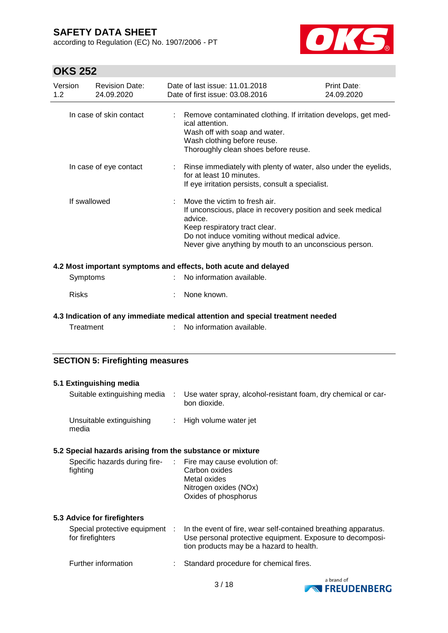according to Regulation (EC) No. 1907/2006 - PT



| Version<br><b>Revision Date:</b><br>1.2<br>24.09.2020     |            | Date of last issue: 11.01.2018<br>Date of first issue: 03.08.2016                                                                                                                                                                                    | <b>Print Date:</b><br>24.09.2020 |
|-----------------------------------------------------------|------------|------------------------------------------------------------------------------------------------------------------------------------------------------------------------------------------------------------------------------------------------------|----------------------------------|
| In case of skin contact                                   |            | Remove contaminated clothing. If irritation develops, get med-<br>ical attention.<br>Wash off with soap and water.<br>Wash clothing before reuse.<br>Thoroughly clean shoes before reuse.                                                            |                                  |
| In case of eye contact                                    |            | Rinse immediately with plenty of water, also under the eyelids,<br>for at least 10 minutes.<br>If eye irritation persists, consult a specialist.                                                                                                     |                                  |
| If swallowed                                              |            | Move the victim to fresh air.<br>If unconscious, place in recovery position and seek medical<br>advice.<br>Keep respiratory tract clear.<br>Do not induce vomiting without medical advice.<br>Never give anything by mouth to an unconscious person. |                                  |
|                                                           |            | 4.2 Most important symptoms and effects, both acute and delayed                                                                                                                                                                                      |                                  |
| Symptoms                                                  |            | No information available.                                                                                                                                                                                                                            |                                  |
| <b>Risks</b>                                              |            | None known.                                                                                                                                                                                                                                          |                                  |
| Treatment                                                 |            | 4.3 Indication of any immediate medical attention and special treatment needed<br>No information available.                                                                                                                                          |                                  |
| <b>SECTION 5: Firefighting measures</b>                   |            |                                                                                                                                                                                                                                                      |                                  |
| 5.1 Extinguishing media                                   |            |                                                                                                                                                                                                                                                      |                                  |
| Suitable extinguishing media                              | $\sim 100$ | Use water spray, alcohol-resistant foam, dry chemical or car-<br>bon dioxide.                                                                                                                                                                        |                                  |
| Unsuitable extinguishing<br>media                         |            | High volume water jet                                                                                                                                                                                                                                |                                  |
| 5.2 Special hazards arising from the substance or mixture |            |                                                                                                                                                                                                                                                      |                                  |
| Specific hazards during fire-<br>fighting                 |            | Fire may cause evolution of:<br>Carbon oxides<br>Metal oxides<br>Nitrogen oxides (NOx)<br>Oxides of phosphorus                                                                                                                                       |                                  |
| 5.3 Advice for firefighters                               |            |                                                                                                                                                                                                                                                      |                                  |
| Special protective equipment :<br>for firefighters        |            | In the event of fire, wear self-contained breathing apparatus.<br>Use personal protective equipment. Exposure to decomposi-<br>tion products may be a hazard to health.                                                                              |                                  |
| Further information                                       |            | Standard procedure for chemical fires.                                                                                                                                                                                                               |                                  |

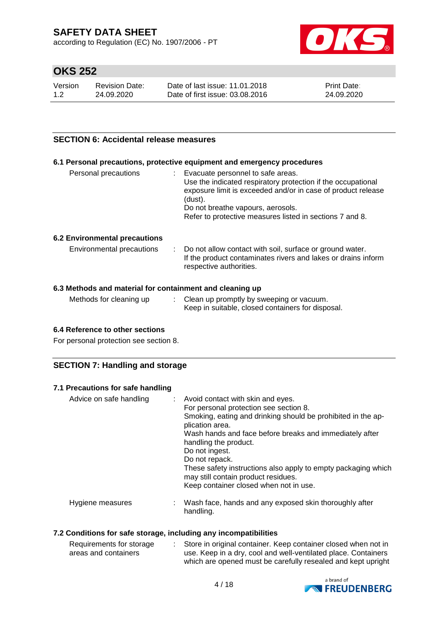according to Regulation (EC) No. 1907/2006 - PT



# **OKS 252**

| Version | Revision Date: | Date of last issue: 11.01.2018  | <b>Print Date:</b> |
|---------|----------------|---------------------------------|--------------------|
| 1.2     | 24.09.2020     | Date of first issue: 03.08.2016 | 24.09.2020         |

### **SECTION 6: Accidental release measures**

### **6.1 Personal precautions, protective equipment and emergency procedures**

| Use the indicated respiratory protection if the occupational<br>exposure limit is exceeded and/or in case of product release<br>(dust).<br>Do not breathe vapours, aerosols.<br>Refer to protective measures listed in sections 7 and 8. |
|------------------------------------------------------------------------------------------------------------------------------------------------------------------------------------------------------------------------------------------|
|------------------------------------------------------------------------------------------------------------------------------------------------------------------------------------------------------------------------------------------|

### **6.2 Environmental precautions**

| Environmental precautions |  | : Do not allow contact with soil, surface or ground water.<br>If the product contaminates rivers and lakes or drains inform<br>respective authorities. |
|---------------------------|--|--------------------------------------------------------------------------------------------------------------------------------------------------------|
|---------------------------|--|--------------------------------------------------------------------------------------------------------------------------------------------------------|

### **6.3 Methods and material for containment and cleaning up**

| Methods for cleaning up | Clean up promptly by sweeping or vacuum.          |
|-------------------------|---------------------------------------------------|
|                         | Keep in suitable, closed containers for disposal. |

### **6.4 Reference to other sections**

For personal protection see section 8.

### **SECTION 7: Handling and storage**

### **7.1 Precautions for safe handling**

| Advice on safe handling | : Avoid contact with skin and eyes.<br>For personal protection see section 8.<br>Smoking, eating and drinking should be prohibited in the ap-<br>plication area.<br>Wash hands and face before breaks and immediately after<br>handling the product.<br>Do not ingest.<br>Do not repack.<br>These safety instructions also apply to empty packaging which<br>may still contain product residues.<br>Keep container closed when not in use. |
|-------------------------|--------------------------------------------------------------------------------------------------------------------------------------------------------------------------------------------------------------------------------------------------------------------------------------------------------------------------------------------------------------------------------------------------------------------------------------------|
| Hygiene measures        | : Wash face, hands and any exposed skin thoroughly after<br>handling.                                                                                                                                                                                                                                                                                                                                                                      |

### **7.2 Conditions for safe storage, including any incompatibilities**

| Requirements for storage | Store in original container. Keep container closed when not in |
|--------------------------|----------------------------------------------------------------|
| areas and containers     | use. Keep in a dry, cool and well-ventilated place. Containers |
|                          | which are opened must be carefully resealed and kept upright   |

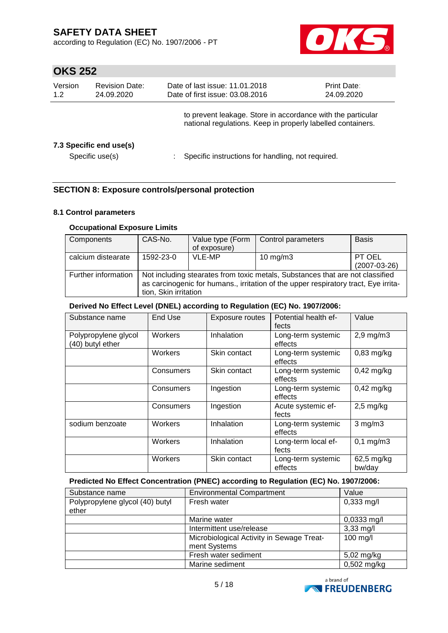according to Regulation (EC) No. 1907/2006 - PT



# **OKS 252**

| Version<br>1.2 | <b>Revision Date:</b><br>24.09.2020        | Date of last issue: 11.01.2018<br>Date of first issue: 03.08.2016                                                          | <b>Print Date:</b><br>24.09.2020 |  |
|----------------|--------------------------------------------|----------------------------------------------------------------------------------------------------------------------------|----------------------------------|--|
|                |                                            | to prevent leakage. Store in accordance with the particular<br>national regulations. Keep in properly labelled containers. |                                  |  |
|                | 7.3 Specific end use(s)<br>Specific use(s) | Specific instructions for handling, not required.                                                                          |                                  |  |

### **SECTION 8: Exposure controls/personal protection**

### **8.1 Control parameters**

### **Occupational Exposure Limits**

| Components          | CAS-No.                                                                                                                                                                                       | Value type (Form<br>of exposure) | Control parameters | <b>Basis</b>             |  |  |
|---------------------|-----------------------------------------------------------------------------------------------------------------------------------------------------------------------------------------------|----------------------------------|--------------------|--------------------------|--|--|
| calcium distearate  | 1592-23-0                                                                                                                                                                                     | VLE-MP                           | $10 \text{ mg/m}$  | PT OEL<br>$(2007-03-26)$ |  |  |
| Further information | Not including stearates from toxic metals, Substances that are not classified<br>as carcinogenic for humans., irritation of the upper respiratory tract, Eye irrita-<br>tion, Skin irritation |                                  |                    |                          |  |  |

### **Derived No Effect Level (DNEL) according to Regulation (EC) No. 1907/2006:**

| Substance name                           | End Use   | Exposure routes | Potential health ef-<br>fects | Value                 |
|------------------------------------------|-----------|-----------------|-------------------------------|-----------------------|
| Polypropylene glycol<br>(40) butyl ether | Workers   | Inhalation      | Long-term systemic<br>effects | $2,9$ mg/m $3$        |
|                                          | Workers   | Skin contact    | Long-term systemic<br>effects | $0,83$ mg/kg          |
|                                          | Consumers | Skin contact    | Long-term systemic<br>effects | $0,42$ mg/kg          |
|                                          | Consumers | Ingestion       | Long-term systemic<br>effects | $0,42$ mg/kg          |
|                                          | Consumers | Ingestion       | Acute systemic ef-<br>fects   | $2,5$ mg/kg           |
| sodium benzoate                          | Workers   | Inhalation      | Long-term systemic<br>effects | $3$ mg/m $3$          |
|                                          | Workers   | Inhalation      | Long-term local ef-<br>fects  | $0,1 \, \text{mg/m3}$ |
|                                          | Workers   | Skin contact    | Long-term systemic<br>effects | 62,5 mg/kg<br>bw/day  |

### **Predicted No Effect Concentration (PNEC) according to Regulation (EC) No. 1907/2006:**

| Substance name                           | <b>Environmental Compartment</b>                          | Value                |
|------------------------------------------|-----------------------------------------------------------|----------------------|
| Polypropylene glycol (40) butyl<br>ether | Fresh water                                               | $0,333 \text{ mg/l}$ |
|                                          | Marine water                                              | $0,0333$ mg/l        |
|                                          | Intermittent use/release                                  | $3,33$ mg/l          |
|                                          | Microbiological Activity in Sewage Treat-<br>ment Systems | 100 mg/l             |
|                                          | Fresh water sediment                                      | 5,02 mg/kg           |
|                                          | Marine sediment                                           | 0,502 mg/kg          |

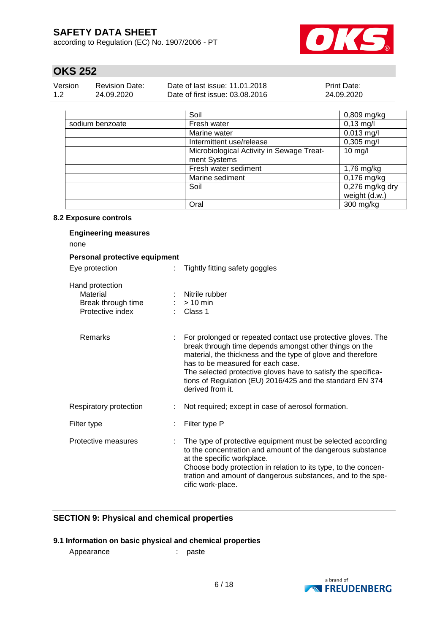according to Regulation (EC) No. 1907/2006 - PT



# **OKS 252**

| Version | <b>Revision Date:</b> | Date of last issue: 11.01.2018  | <b>Print Date:</b> |
|---------|-----------------------|---------------------------------|--------------------|
| 1.2     | 24.09.2020            | Date of first issue: 03.08.2016 | 24.09.2020         |

|                 | Soil                                      | $0,809$ mg/kg   |
|-----------------|-------------------------------------------|-----------------|
| sodium benzoate | Fresh water                               | $0,13$ mg/l     |
|                 | Marine water                              | $0,013$ mg/l    |
|                 | Intermittent use/release                  | $0,305$ mg/l    |
|                 | Microbiological Activity in Sewage Treat- | $10$ mg/l       |
|                 | ment Systems                              |                 |
|                 | Fresh water sediment                      | 1,76 mg/kg      |
|                 | Marine sediment                           | $0,176$ mg/kg   |
|                 | Soil                                      | 0,276 mg/kg dry |
|                 |                                           | weight (d.w.)   |
|                 | Oral                                      | 300 mg/kg       |

### **8.2 Exposure controls**

| <b>Engineering measures</b><br>none                                   |                           |                                                                                                                                                                                                                                                                                                                                                                              |
|-----------------------------------------------------------------------|---------------------------|------------------------------------------------------------------------------------------------------------------------------------------------------------------------------------------------------------------------------------------------------------------------------------------------------------------------------------------------------------------------------|
| Personal protective equipment                                         |                           |                                                                                                                                                                                                                                                                                                                                                                              |
| Eye protection                                                        | ÷.                        | Tightly fitting safety goggles                                                                                                                                                                                                                                                                                                                                               |
| Hand protection<br>Material<br>Break through time<br>Protective index |                           | Nitrile rubber<br>$> 10$ min<br>Class 1                                                                                                                                                                                                                                                                                                                                      |
| <b>Remarks</b>                                                        | $\mathbb{R}^{\mathbb{Z}}$ | For prolonged or repeated contact use protective gloves. The<br>break through time depends amongst other things on the<br>material, the thickness and the type of glove and therefore<br>has to be measured for each case.<br>The selected protective gloves have to satisfy the specifica-<br>tions of Regulation (EU) 2016/425 and the standard EN 374<br>derived from it. |
| Respiratory protection                                                |                           | Not required; except in case of aerosol formation.                                                                                                                                                                                                                                                                                                                           |
| Filter type                                                           |                           | Filter type P                                                                                                                                                                                                                                                                                                                                                                |
| Protective measures                                                   | ÷                         | The type of protective equipment must be selected according<br>to the concentration and amount of the dangerous substance<br>at the specific workplace.<br>Choose body protection in relation to its type, to the concen-<br>tration and amount of dangerous substances, and to the spe-<br>cific work-place.                                                                |

### **SECTION 9: Physical and chemical properties**

### **9.1 Information on basic physical and chemical properties**

Appearance : paste

a brand of **EXPREUDENBERG**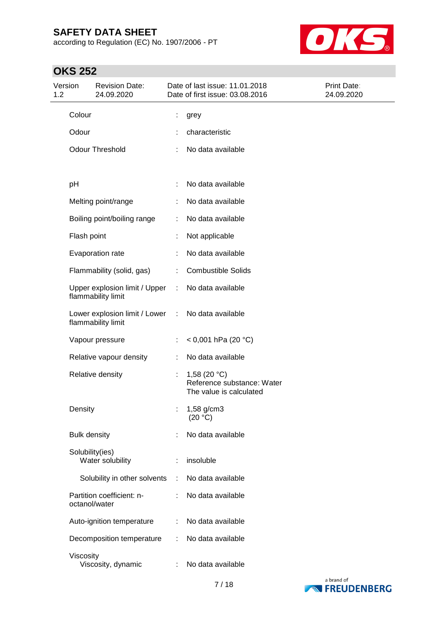according to Regulation (EC) No. 1907/2006 - PT



| Version<br><b>Revision Date:</b><br>1.2<br>24.09.2020 |                     | Date of last issue: 11.01.2018<br>Date of first issue: 03.08.2016 | Print Date:<br>24.09.2020 |                                                                         |  |
|-------------------------------------------------------|---------------------|-------------------------------------------------------------------|---------------------------|-------------------------------------------------------------------------|--|
|                                                       | Colour              |                                                                   | ÷,                        | grey                                                                    |  |
|                                                       | Odour               |                                                                   |                           | characteristic                                                          |  |
|                                                       |                     | <b>Odour Threshold</b>                                            |                           | No data available                                                       |  |
|                                                       | pH                  |                                                                   | ÷                         | No data available                                                       |  |
|                                                       |                     | Melting point/range                                               |                           | No data available                                                       |  |
|                                                       |                     | Boiling point/boiling range                                       | ÷                         | No data available                                                       |  |
|                                                       | Flash point         |                                                                   |                           | Not applicable                                                          |  |
|                                                       |                     | Evaporation rate                                                  |                           | No data available                                                       |  |
|                                                       |                     | Flammability (solid, gas)                                         |                           | <b>Combustible Solids</b>                                               |  |
|                                                       |                     | Upper explosion limit / Upper<br>flammability limit               | ÷.                        | No data available                                                       |  |
|                                                       |                     | Lower explosion limit / Lower<br>flammability limit               | $\sim 10$                 | No data available                                                       |  |
|                                                       |                     | Vapour pressure                                                   | ÷                         | < 0,001 hPa (20 $^{\circ}$ C)                                           |  |
|                                                       |                     | Relative vapour density                                           | ÷                         | No data available                                                       |  |
|                                                       |                     | Relative density                                                  | ÷                         | 1,58 $(20 °C)$<br>Reference substance: Water<br>The value is calculated |  |
|                                                       | Density             |                                                                   |                           | 1,58 g/cm3<br>(20 °C)                                                   |  |
|                                                       | <b>Bulk density</b> |                                                                   |                           | No data available                                                       |  |
|                                                       | Solubility(ies)     | Water solubility                                                  |                           | insoluble                                                               |  |
|                                                       |                     | Solubility in other solvents                                      | ÷                         | No data available                                                       |  |
|                                                       | octanol/water       | Partition coefficient: n-                                         |                           | No data available                                                       |  |
|                                                       |                     | Auto-ignition temperature                                         | ÷                         | No data available                                                       |  |
|                                                       |                     | Decomposition temperature                                         |                           | No data available                                                       |  |
|                                                       | Viscosity           | Viscosity, dynamic                                                |                           | No data available                                                       |  |

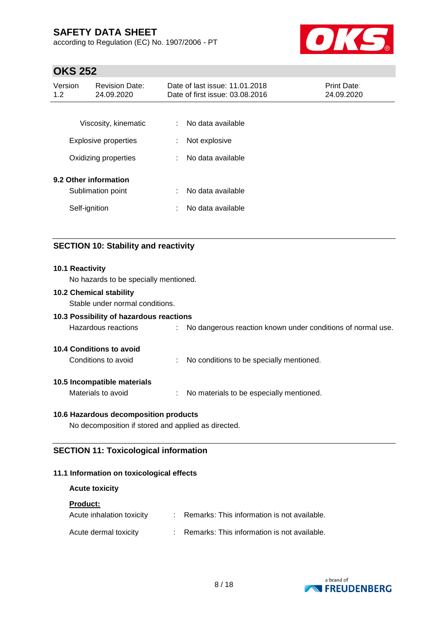according to Regulation (EC) No. 1907/2006 - PT



# **OKS 252**

| Version<br>1.2 | <b>Revision Date:</b><br>24.09.2020        | Date of last issue: 11.01.2018<br>Print Date:<br>Date of first issue: 03.08.2016<br>24.09.2020 |  |  |
|----------------|--------------------------------------------|------------------------------------------------------------------------------------------------|--|--|
|                | Viscosity, kinematic                       | No data available<br>÷                                                                         |  |  |
|                | <b>Explosive properties</b>                | Not explosive<br>÷                                                                             |  |  |
|                | Oxidizing properties                       | No data available<br>÷                                                                         |  |  |
|                | 9.2 Other information<br>Sublimation point | No data available<br>÷                                                                         |  |  |
|                | Self-ignition                              | No data available<br>÷                                                                         |  |  |

### **SECTION 10: Stability and reactivity**

| 10.1 Reactivity<br>No hazards to be specially mentioned.          |                                                               |
|-------------------------------------------------------------------|---------------------------------------------------------------|
| <b>10.2 Chemical stability</b><br>Stable under normal conditions. |                                                               |
| 10.3 Possibility of hazardous reactions                           |                                                               |
| Hazardous reactions                                               | : No dangerous reaction known under conditions of normal use. |
| <b>10.4 Conditions to avoid</b>                                   |                                                               |
| Conditions to avoid                                               | : No conditions to be specially mentioned.                    |
| 10.5 Incompatible materials                                       |                                                               |
| Materials to avoid                                                | : No materials to be especially mentioned.                    |
| 10.6 Hazardous decomposition products                             |                                                               |
| No decomposition if stored and applied as directed.               |                                                               |

### **SECTION 11: Toxicological information**

### **11.1 Information on toxicological effects**

### **Acute toxicity**

#### **Product:**

| Acute inhalation toxicity | : Remarks: This information is not available. |
|---------------------------|-----------------------------------------------|
| Acute dermal toxicity     | : Remarks: This information is not available. |

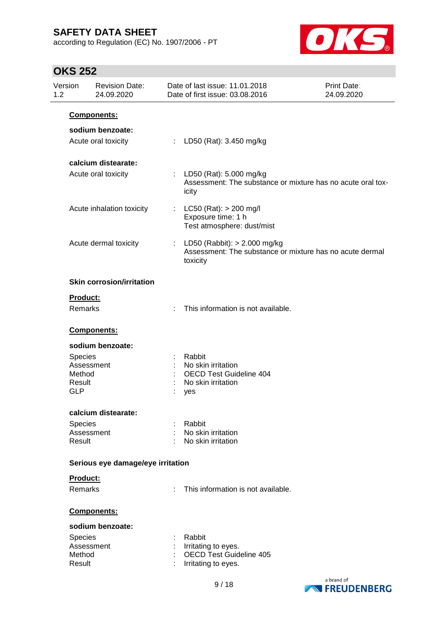according to Regulation (EC) No. 1907/2006 - PT



| 1.2 | Version          | <b>Revision Date:</b><br>24.09.2020 |    | Date of last issue: 11.01.2018<br>Date of first issue: 03.08.2016                                      | Print Date:<br>24.09.2020 |
|-----|------------------|-------------------------------------|----|--------------------------------------------------------------------------------------------------------|---------------------------|
|     | Components:      |                                     |    |                                                                                                        |                           |
|     |                  | sodium benzoate:                    |    |                                                                                                        |                           |
|     |                  | Acute oral toxicity                 | t. | LD50 (Rat): 3.450 mg/kg                                                                                |                           |
|     |                  | calcium distearate:                 |    |                                                                                                        |                           |
|     |                  | Acute oral toxicity                 |    | : LD50 (Rat): 5.000 mg/kg<br>Assessment: The substance or mixture has no acute oral tox-<br>icity      |                           |
|     |                  | Acute inhalation toxicity           | ÷  | $LC50$ (Rat): $> 200$ mg/l<br>Exposure time: 1 h<br>Test atmosphere: dust/mist                         |                           |
|     |                  | Acute dermal toxicity               | ÷  | LD50 (Rabbit): $> 2.000$ mg/kg<br>Assessment: The substance or mixture has no acute dermal<br>toxicity |                           |
|     |                  | <b>Skin corrosion/irritation</b>    |    |                                                                                                        |                           |
|     | Product:         |                                     |    |                                                                                                        |                           |
|     | Remarks          |                                     |    | This information is not available.                                                                     |                           |
|     |                  | Components:                         |    |                                                                                                        |                           |
|     |                  | sodium benzoate:                    |    |                                                                                                        |                           |
|     | <b>Species</b>   |                                     |    | Rabbit                                                                                                 |                           |
|     |                  | Assessment                          |    | No skin irritation                                                                                     |                           |
|     | Method<br>Result |                                     |    | <b>OECD Test Guideline 404</b><br>No skin irritation                                                   |                           |
|     | <b>GLP</b>       |                                     |    | yes                                                                                                    |                           |
|     |                  | calcium distearate:                 |    |                                                                                                        |                           |
|     | <b>Species</b>   |                                     |    | Rabbit                                                                                                 |                           |
|     | Result           | Assessment                          |    | No skin irritation<br>No skin irritation                                                               |                           |
|     |                  | Serious eye damage/eye irritation   |    |                                                                                                        |                           |
|     | Product:         |                                     |    |                                                                                                        |                           |
|     | Remarks          |                                     |    | This information is not available.                                                                     |                           |
|     |                  | Components:                         |    |                                                                                                        |                           |
|     |                  | sodium benzoate:                    |    |                                                                                                        |                           |
|     | <b>Species</b>   |                                     |    | Rabbit                                                                                                 |                           |
|     |                  | Assessment                          |    | Irritating to eyes.                                                                                    |                           |
|     | Method<br>Result |                                     |    | OECD Test Guideline 405<br>Irritating to eyes.                                                         |                           |

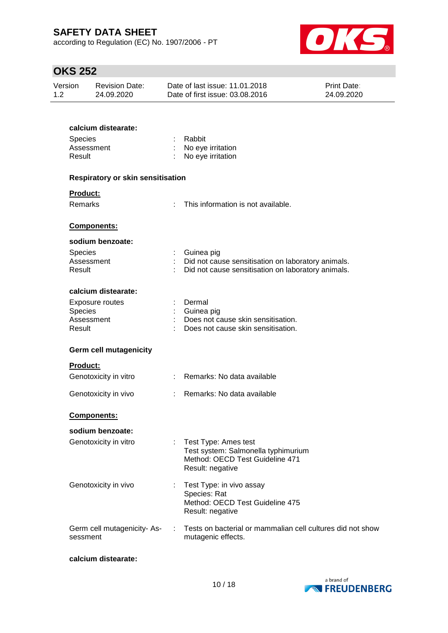according to Regulation (EC) No. 1907/2006 - PT



# **OKS 252**

| UNJ 232        |                                          |                                                                                                                          |                           |  |  |  |  |
|----------------|------------------------------------------|--------------------------------------------------------------------------------------------------------------------------|---------------------------|--|--|--|--|
| Version<br>1.2 | <b>Revision Date:</b><br>24.09.2020      | Date of last issue: 11.01.2018<br>Date of first issue: 03.08.2016                                                        | Print Date:<br>24.09.2020 |  |  |  |  |
|                |                                          |                                                                                                                          |                           |  |  |  |  |
|                | calcium distearate:                      |                                                                                                                          |                           |  |  |  |  |
| <b>Species</b> |                                          | Rabbit                                                                                                                   |                           |  |  |  |  |
|                | Assessment                               | No eye irritation                                                                                                        |                           |  |  |  |  |
| Result         |                                          | No eye irritation                                                                                                        |                           |  |  |  |  |
|                | <b>Respiratory or skin sensitisation</b> |                                                                                                                          |                           |  |  |  |  |
|                | Product:                                 |                                                                                                                          |                           |  |  |  |  |
|                | Remarks                                  | This information is not available.                                                                                       |                           |  |  |  |  |
|                | Components:                              |                                                                                                                          |                           |  |  |  |  |
|                | sodium benzoate:                         |                                                                                                                          |                           |  |  |  |  |
|                | <b>Species</b>                           | Guinea pig                                                                                                               |                           |  |  |  |  |
|                | Assessment                               | Did not cause sensitisation on laboratory animals.                                                                       |                           |  |  |  |  |
| Result         |                                          | Did not cause sensitisation on laboratory animals.                                                                       |                           |  |  |  |  |
|                | calcium distearate:                      |                                                                                                                          |                           |  |  |  |  |
|                | <b>Exposure routes</b>                   | Dermal                                                                                                                   |                           |  |  |  |  |
|                | Species                                  | Guinea pig                                                                                                               |                           |  |  |  |  |
|                | Assessment                               | Does not cause skin sensitisation.                                                                                       |                           |  |  |  |  |
| Result         |                                          | Does not cause skin sensitisation.                                                                                       |                           |  |  |  |  |
|                | <b>Germ cell mutagenicity</b>            |                                                                                                                          |                           |  |  |  |  |
|                | <b>Product:</b>                          |                                                                                                                          |                           |  |  |  |  |
|                | Genotoxicity in vitro                    | Remarks: No data available                                                                                               |                           |  |  |  |  |
|                | Genotoxicity in vivo                     | Remarks: No data available                                                                                               |                           |  |  |  |  |
|                | Components:                              |                                                                                                                          |                           |  |  |  |  |
|                | sodium benzoate:                         |                                                                                                                          |                           |  |  |  |  |
|                | Genotoxicity in vitro                    | Test Type: Ames test<br>÷.<br>Test system: Salmonella typhimurium<br>Method: OECD Test Guideline 471<br>Result: negative |                           |  |  |  |  |
|                |                                          |                                                                                                                          |                           |  |  |  |  |
|                | Genotoxicity in vivo                     | Test Type: in vivo assay<br>Species: Rat                                                                                 |                           |  |  |  |  |
|                |                                          | Method: OECD Test Guideline 475                                                                                          |                           |  |  |  |  |

Germ cell mutagenicity- As-: Tests on bacterial or mammalian cell cultures did not show sessment mutagenic effects.

Result: negative

#### **calcium distearate:**

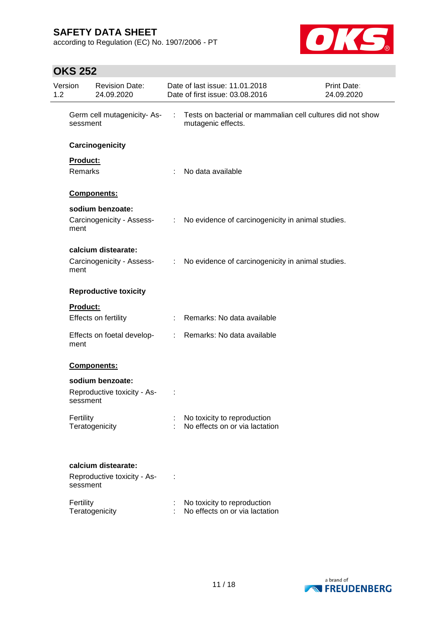according to Regulation (EC) No. 1907/2006 - PT



| Version<br>1.2 |                            | <b>Revision Date:</b><br>24.09.2020                |                               | Date of last issue: 11.01.2018<br>Date of first issue: 03.08.2016                | Print Date:<br>24.09.2020 |
|----------------|----------------------------|----------------------------------------------------|-------------------------------|----------------------------------------------------------------------------------|---------------------------|
|                | sessment                   | Germ cell mutagenicity-As-                         | ÷                             | Tests on bacterial or mammalian cell cultures did not show<br>mutagenic effects. |                           |
|                |                            | Carcinogenicity                                    |                               |                                                                                  |                           |
|                | Product:<br><b>Remarks</b> |                                                    | ÷                             | No data available                                                                |                           |
|                |                            | Components:                                        |                               |                                                                                  |                           |
|                | ment                       | sodium benzoate:<br>Carcinogenicity - Assess-      |                               | : No evidence of carcinogenicity in animal studies.                              |                           |
|                | ment                       | calcium distearate:<br>Carcinogenicity - Assess-   | $\mathcal{L}^{\mathcal{L}}$ . | No evidence of carcinogenicity in animal studies.                                |                           |
|                |                            | <b>Reproductive toxicity</b>                       |                               |                                                                                  |                           |
|                | <b>Product:</b>            | Effects on fertility                               |                               | : Remarks: No data available                                                     |                           |
|                | ment                       | Effects on foetal develop-                         |                               | : Remarks: No data available                                                     |                           |
|                |                            | Components:                                        |                               |                                                                                  |                           |
|                | sessment                   | sodium benzoate:<br>Reproductive toxicity - As-    |                               |                                                                                  |                           |
|                | Fertility                  | Teratogenicity                                     |                               | No toxicity to reproduction<br>No effects on or via lactation                    |                           |
|                | sessment                   | calcium distearate:<br>Reproductive toxicity - As- |                               |                                                                                  |                           |
|                | Fertility                  | Teratogenicity                                     |                               | No toxicity to reproduction<br>No effects on or via lactation                    |                           |

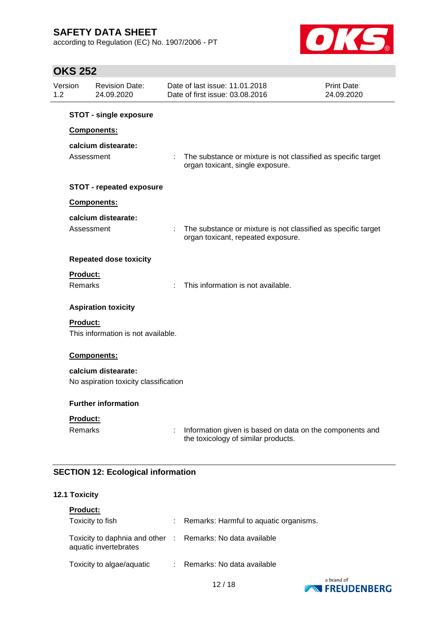according to Regulation (EC) No. 1907/2006 - PT



# **OKS 252**

| 1.2 | Version                    | <b>Revision Date:</b><br>24.09.2020                          |   | Date of last issue: 11.01.2018<br>Date of first issue: 03.08.2016                                   | <b>Print Date:</b><br>24.09.2020 |
|-----|----------------------------|--------------------------------------------------------------|---|-----------------------------------------------------------------------------------------------------|----------------------------------|
|     |                            | <b>STOT - single exposure</b>                                |   |                                                                                                     |                                  |
|     |                            | Components:                                                  |   |                                                                                                     |                                  |
|     | Assessment                 | calcium distearate:                                          |   | The substance or mixture is not classified as specific target<br>organ toxicant, single exposure.   |                                  |
|     |                            | <b>STOT - repeated exposure</b>                              |   |                                                                                                     |                                  |
|     |                            | Components:                                                  |   |                                                                                                     |                                  |
|     | Assessment                 | calcium distearate:                                          |   | The substance or mixture is not classified as specific target<br>organ toxicant, repeated exposure. |                                  |
|     |                            | <b>Repeated dose toxicity</b>                                |   |                                                                                                     |                                  |
|     | Product:<br><b>Remarks</b> |                                                              |   | This information is not available.                                                                  |                                  |
|     |                            | <b>Aspiration toxicity</b>                                   |   |                                                                                                     |                                  |
|     | <b>Product:</b>            | This information is not available.                           |   |                                                                                                     |                                  |
|     |                            | Components:                                                  |   |                                                                                                     |                                  |
|     |                            | calcium distearate:<br>No aspiration toxicity classification |   |                                                                                                     |                                  |
|     |                            | <b>Further information</b>                                   |   |                                                                                                     |                                  |
|     | Product:                   |                                                              |   |                                                                                                     |                                  |
|     | <b>Remarks</b>             |                                                              | ÷ | Information given is based on data on the components and<br>the toxicology of similar products.     |                                  |

### **SECTION 12: Ecological information**

#### **12.1 Toxicity**

| <b>Product:</b>                                                                     |                                          |
|-------------------------------------------------------------------------------------|------------------------------------------|
| Toxicity to fish                                                                    | : Remarks: Harmful to aquatic organisms. |
| Toxicity to daphnia and other : Remarks: No data available<br>aquatic invertebrates |                                          |
| Toxicity to algae/aquatic                                                           | : Remarks: No data available             |



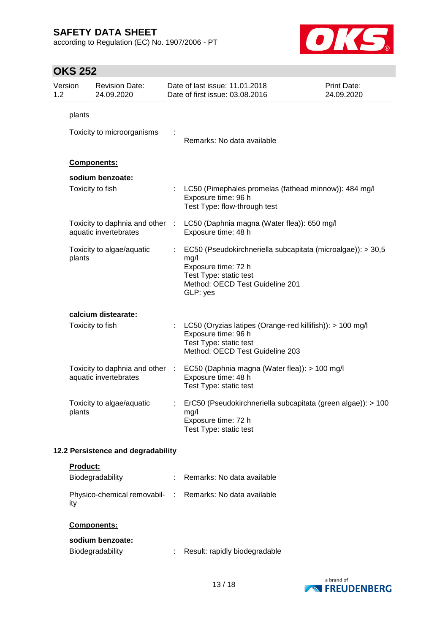according to Regulation (EC) No. 1907/2006 - PT



# **OKS 252**

| 1.2 | Version         | <b>Revision Date:</b><br>24.09.2020                      |   | Date of last issue: 11.01.2018<br>Date of first issue: 03.08.2016                                                                                                   | Print Date:<br>24.09.2020 |
|-----|-----------------|----------------------------------------------------------|---|---------------------------------------------------------------------------------------------------------------------------------------------------------------------|---------------------------|
|     | plants          |                                                          |   |                                                                                                                                                                     |                           |
|     |                 | Toxicity to microorganisms                               |   | Remarks: No data available                                                                                                                                          |                           |
|     |                 | <b>Components:</b>                                       |   |                                                                                                                                                                     |                           |
|     |                 | sodium benzoate:                                         |   |                                                                                                                                                                     |                           |
|     |                 | Toxicity to fish                                         |   | LC50 (Pimephales promelas (fathead minnow)): 484 mg/l<br>Exposure time: 96 h<br>Test Type: flow-through test                                                        |                           |
|     |                 | Toxicity to daphnia and other :<br>aquatic invertebrates |   | LC50 (Daphnia magna (Water flea)): 650 mg/l<br>Exposure time: 48 h                                                                                                  |                           |
|     | plants          | Toxicity to algae/aquatic                                |   | EC50 (Pseudokirchneriella subcapitata (microalgae)): > 30,5<br>mg/l<br>Exposure time: 72 h<br>Test Type: static test<br>Method: OECD Test Guideline 201<br>GLP: yes |                           |
|     |                 | calcium distearate:                                      |   |                                                                                                                                                                     |                           |
|     |                 | Toxicity to fish                                         |   | LC50 (Oryzias latipes (Orange-red killifish)): > 100 mg/l<br>Exposure time: 96 h<br>Test Type: static test<br>Method: OECD Test Guideline 203                       |                           |
|     |                 | Toxicity to daphnia and other :<br>aquatic invertebrates |   | EC50 (Daphnia magna (Water flea)): > 100 mg/l<br>Exposure time: 48 h<br>Test Type: static test                                                                      |                           |
|     | plants          | Toxicity to algae/aquatic                                | ÷ | ErC50 (Pseudokirchneriella subcapitata (green algae)): > 100<br>mg/l<br>Exposure time: 72 h<br>Test Type: static test                                               |                           |
|     |                 | 12.2 Persistence and degradability                       |   |                                                                                                                                                                     |                           |
|     | <b>Product:</b> |                                                          |   |                                                                                                                                                                     |                           |

| Biodegradability                                                | Remarks: No data available |
|-----------------------------------------------------------------|----------------------------|
| Physico-chemical removabil- : Remarks: No data available<br>itv |                            |

### **Components:**

## **sodium benzoate:**

| <b>Biodegradability</b> |  | Result: rapidly biodegradable |  |
|-------------------------|--|-------------------------------|--|
|-------------------------|--|-------------------------------|--|

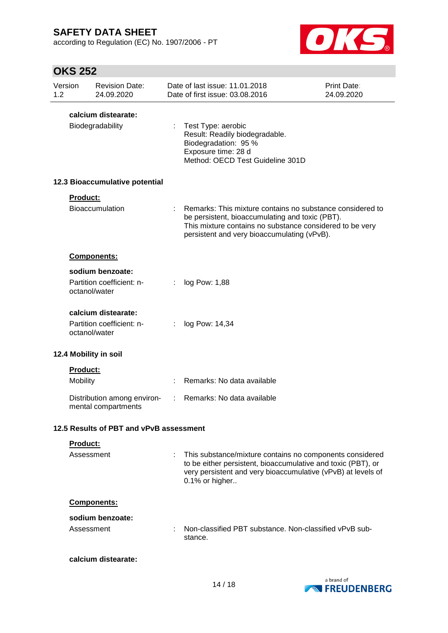according to Regulation (EC) No. 1907/2006 - PT



| 1.2 | Version         | <b>Revision Date:</b><br>24.09.2020                |   | Date of last issue: 11.01.2018<br>Date of first issue: 03.08.2016                                                                                                                                                       | Print Date:<br>24.09.2020 |
|-----|-----------------|----------------------------------------------------|---|-------------------------------------------------------------------------------------------------------------------------------------------------------------------------------------------------------------------------|---------------------------|
|     |                 | calcium distearate:                                |   |                                                                                                                                                                                                                         |                           |
|     |                 | Biodegradability                                   |   | Test Type: aerobic<br>Result: Readily biodegradable.<br>Biodegradation: 95 %<br>Exposure time: 28 d<br>Method: OECD Test Guideline 301D                                                                                 |                           |
|     |                 | 12.3 Bioaccumulative potential                     |   |                                                                                                                                                                                                                         |                           |
|     | Product:        |                                                    |   |                                                                                                                                                                                                                         |                           |
|     |                 | <b>Bioaccumulation</b>                             |   | Remarks: This mixture contains no substance considered to<br>be persistent, bioaccumulating and toxic (PBT).<br>This mixture contains no substance considered to be very<br>persistent and very bioaccumulating (vPvB). |                           |
|     |                 | <b>Components:</b>                                 |   |                                                                                                                                                                                                                         |                           |
|     |                 | sodium benzoate:                                   |   |                                                                                                                                                                                                                         |                           |
|     | octanol/water   | Partition coefficient: n-                          | ÷ | log Pow: 1,88                                                                                                                                                                                                           |                           |
|     |                 | calcium distearate:                                |   |                                                                                                                                                                                                                         |                           |
|     | octanol/water   | Partition coefficient: n-                          |   | log Pow: 14,34                                                                                                                                                                                                          |                           |
|     |                 | 12.4 Mobility in soil                              |   |                                                                                                                                                                                                                         |                           |
|     | <b>Product:</b> |                                                    |   |                                                                                                                                                                                                                         |                           |
|     | Mobility        |                                                    | ÷ | Remarks: No data available                                                                                                                                                                                              |                           |
|     |                 | Distribution among environ-<br>mental compartments |   | Remarks: No data available                                                                                                                                                                                              |                           |
|     |                 | 12.5 Results of PBT and vPvB assessment            |   |                                                                                                                                                                                                                         |                           |
|     | Product:        |                                                    |   |                                                                                                                                                                                                                         |                           |
|     | Assessment      |                                                    |   | This substance/mixture contains no components considered<br>to be either persistent, bioaccumulative and toxic (PBT), or<br>very persistent and very bioaccumulative (vPvB) at levels of<br>0.1% or higher              |                           |
|     |                 | Components:                                        |   |                                                                                                                                                                                                                         |                           |
|     |                 | sodium benzoate:                                   |   |                                                                                                                                                                                                                         |                           |
|     | Assessment      |                                                    |   | Non-classified PBT substance. Non-classified vPvB sub-<br>stance.                                                                                                                                                       |                           |
|     |                 | calcium distearate:                                |   |                                                                                                                                                                                                                         |                           |

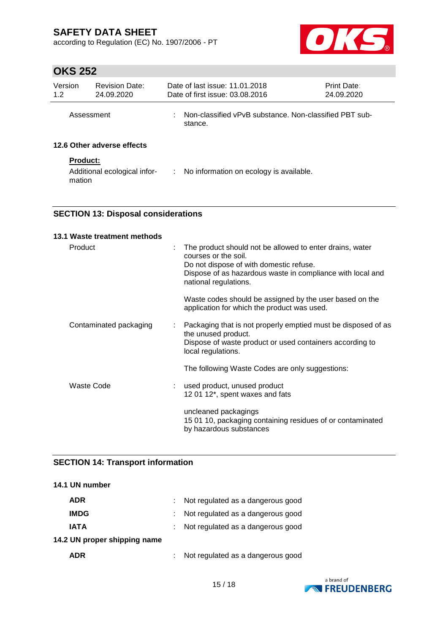according to Regulation (EC) No. 1907/2006 - PT



# **OKS 252**

| Version<br>1.2  | <b>Revision Date:</b><br>24.09.2020 | Date of last issue: 11.01.2018<br>Print Date:<br>Date of first issue: 03.08.2016<br>24.09.2020 |                                                                   |  |  |  |
|-----------------|-------------------------------------|------------------------------------------------------------------------------------------------|-------------------------------------------------------------------|--|--|--|
| Assessment      |                                     | ÷                                                                                              | Non-classified vPvB substance. Non-classified PBT sub-<br>stance. |  |  |  |
|                 | 12.6 Other adverse effects          |                                                                                                |                                                                   |  |  |  |
| <b>Product:</b> |                                     |                                                                                                |                                                                   |  |  |  |
| mation          | Additional ecological infor-        |                                                                                                | : No information on ecology is available.                         |  |  |  |

### **SECTION 13: Disposal considerations**

| 13.1 Waste treatment methods |   |                                                                                                                                                                                                                    |
|------------------------------|---|--------------------------------------------------------------------------------------------------------------------------------------------------------------------------------------------------------------------|
| Product                      |   | The product should not be allowed to enter drains, water<br>courses or the soil.<br>Do not dispose of with domestic refuse.<br>Dispose of as hazardous waste in compliance with local and<br>national regulations. |
|                              |   | Waste codes should be assigned by the user based on the<br>application for which the product was used.                                                                                                             |
| Contaminated packaging       | ÷ | Packaging that is not properly emptied must be disposed of as<br>the unused product.<br>Dispose of waste product or used containers according to<br>local regulations.                                             |
|                              |   | The following Waste Codes are only suggestions:                                                                                                                                                                    |
| Waste Code                   |   | used product, unused product<br>12 01 12*, spent waxes and fats                                                                                                                                                    |
|                              |   | uncleaned packagings<br>15 01 10, packaging containing residues of or contaminated<br>by hazardous substances                                                                                                      |

### **SECTION 14: Transport information**

| 14.1 UN number               |                                     |
|------------------------------|-------------------------------------|
| ADR                          | : Not regulated as a dangerous good |
| <b>IMDG</b>                  | Not regulated as a dangerous good   |
| <b>IATA</b>                  | Not regulated as a dangerous good   |
| 14.2 UN proper shipping name |                                     |
| ADR                          | Not regulated as a dangerous good   |

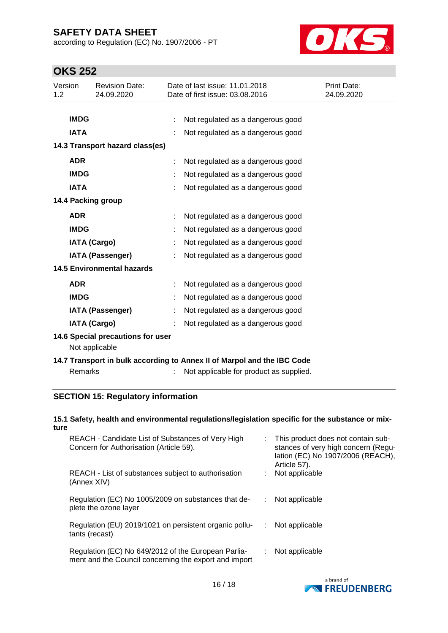according to Regulation (EC) No. 1907/2006 - PT



# **OKS 252**

| Version<br>1.2 | <b>Revision Date:</b><br>24.09.2020                 |  | Date of last issue: 11.01.2018<br>Date of first issue: 03.08.2016       | <b>Print Date:</b><br>24.09.2020 |
|----------------|-----------------------------------------------------|--|-------------------------------------------------------------------------|----------------------------------|
|                |                                                     |  |                                                                         |                                  |
|                | <b>IMDG</b>                                         |  | Not regulated as a dangerous good                                       |                                  |
|                | <b>IATA</b>                                         |  | Not regulated as a dangerous good                                       |                                  |
|                | 14.3 Transport hazard class(es)                     |  |                                                                         |                                  |
|                | <b>ADR</b>                                          |  | Not regulated as a dangerous good                                       |                                  |
|                | <b>IMDG</b>                                         |  | Not regulated as a dangerous good                                       |                                  |
|                | <b>IATA</b>                                         |  | Not regulated as a dangerous good                                       |                                  |
|                | 14.4 Packing group                                  |  |                                                                         |                                  |
|                | <b>ADR</b>                                          |  | Not regulated as a dangerous good                                       |                                  |
|                | <b>IMDG</b>                                         |  | Not regulated as a dangerous good                                       |                                  |
|                | <b>IATA (Cargo)</b>                                 |  | Not regulated as a dangerous good                                       |                                  |
|                | <b>IATA (Passenger)</b>                             |  | Not regulated as a dangerous good                                       |                                  |
|                | <b>14.5 Environmental hazards</b>                   |  |                                                                         |                                  |
|                | <b>ADR</b>                                          |  | Not regulated as a dangerous good                                       |                                  |
|                | <b>IMDG</b>                                         |  | Not regulated as a dangerous good                                       |                                  |
|                | <b>IATA (Passenger)</b>                             |  | Not regulated as a dangerous good                                       |                                  |
|                | <b>IATA (Cargo)</b>                                 |  | Not regulated as a dangerous good                                       |                                  |
|                | 14.6 Special precautions for user<br>Not applicable |  |                                                                         |                                  |
|                |                                                     |  | 14.7 Transport in bulk according to Annex II of Marpol and the IBC Code |                                  |
|                | Remarks                                             |  | Not applicable for product as supplied.                                 |                                  |

### **SECTION 15: Regulatory information**

### **15.1 Safety, health and environmental regulations/legislation specific for the substance or mixture**

| REACH - Candidate List of Substances of Very High<br>Concern for Authorisation (Article 59).                 |    | : This product does not contain sub-<br>stances of very high concern (Regu-<br>lation (EC) No 1907/2006 (REACH),<br>Article 57). |
|--------------------------------------------------------------------------------------------------------------|----|----------------------------------------------------------------------------------------------------------------------------------|
| REACH - List of substances subject to authorisation<br>(Annex XIV)                                           |    | Not applicable                                                                                                                   |
| Regulation (EC) No 1005/2009 on substances that de-<br>plete the ozone layer                                 | ÷. | Not applicable                                                                                                                   |
| Regulation (EU) 2019/1021 on persistent organic pollu-<br>tants (recast)                                     | ÷. | Not applicable                                                                                                                   |
| Regulation (EC) No 649/2012 of the European Parlia-<br>ment and the Council concerning the export and import | ÷. | Not applicable                                                                                                                   |

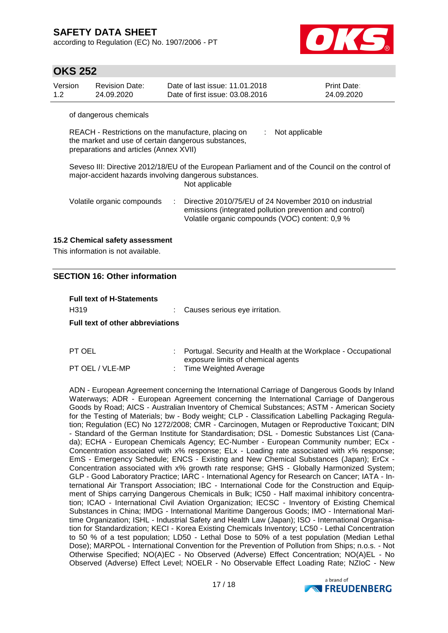according to Regulation (EC) No. 1907/2006 - PT



# **OKS 252**

| Version<br>1.2                                                                                                                                                               | <b>Revision Date:</b><br>24.09.2020 | Date of last issue: 11.01.2018<br>Date of first issue: 03.08.2016 | <b>Print Date:</b><br>24.09.2020                                                                                  |  |  |  |  |  |
|------------------------------------------------------------------------------------------------------------------------------------------------------------------------------|-------------------------------------|-------------------------------------------------------------------|-------------------------------------------------------------------------------------------------------------------|--|--|--|--|--|
|                                                                                                                                                                              | of dangerous chemicals              |                                                                   |                                                                                                                   |  |  |  |  |  |
| REACH - Restrictions on the manufacture, placing on<br>Not applicable<br>the market and use of certain dangerous substances,<br>preparations and articles (Annex XVII)       |                                     |                                                                   |                                                                                                                   |  |  |  |  |  |
| Seveso III: Directive 2012/18/EU of the European Parliament and of the Council on the control of<br>major-accident hazards involving dangerous substances.<br>Not applicable |                                     |                                                                   |                                                                                                                   |  |  |  |  |  |
|                                                                                                                                                                              | Volatile organic compounds          | Volatile organic compounds (VOC) content: 0,9 %                   | Directive 2010/75/EU of 24 November 2010 on industrial<br>emissions (integrated pollution prevention and control) |  |  |  |  |  |
|                                                                                                                                                                              |                                     |                                                                   |                                                                                                                   |  |  |  |  |  |

### **15.2 Chemical safety assessment**

This information is not available.

### **SECTION 16: Other information**

# **Full text of H-Statements** H319 : Causes serious eye irritation. **Full text of other abbreviations**

| PT OEL          | : Portugal. Security and Health at the Workplace - Occupational |
|-----------------|-----------------------------------------------------------------|
|                 | exposure limits of chemical agents                              |
| PT OEL / VLE-MP | Time Weighted Average                                           |

ADN - European Agreement concerning the International Carriage of Dangerous Goods by Inland Waterways; ADR - European Agreement concerning the International Carriage of Dangerous Goods by Road; AICS - Australian Inventory of Chemical Substances; ASTM - American Society for the Testing of Materials; bw - Body weight; CLP - Classification Labelling Packaging Regulation; Regulation (EC) No 1272/2008; CMR - Carcinogen, Mutagen or Reproductive Toxicant; DIN - Standard of the German Institute for Standardisation; DSL - Domestic Substances List (Canada); ECHA - European Chemicals Agency; EC-Number - European Community number; ECx - Concentration associated with x% response; ELx - Loading rate associated with x% response; EmS - Emergency Schedule; ENCS - Existing and New Chemical Substances (Japan); ErCx - Concentration associated with x% growth rate response; GHS - Globally Harmonized System; GLP - Good Laboratory Practice; IARC - International Agency for Research on Cancer; IATA - International Air Transport Association; IBC - International Code for the Construction and Equipment of Ships carrying Dangerous Chemicals in Bulk; IC50 - Half maximal inhibitory concentration; ICAO - International Civil Aviation Organization; IECSC - Inventory of Existing Chemical Substances in China; IMDG - International Maritime Dangerous Goods; IMO - International Maritime Organization; ISHL - Industrial Safety and Health Law (Japan); ISO - International Organisation for Standardization; KECI - Korea Existing Chemicals Inventory; LC50 - Lethal Concentration to 50 % of a test population; LD50 - Lethal Dose to 50% of a test population (Median Lethal Dose); MARPOL - International Convention for the Prevention of Pollution from Ships; n.o.s. - Not Otherwise Specified; NO(A)EC - No Observed (Adverse) Effect Concentration; NO(A)EL - No Observed (Adverse) Effect Level; NOELR - No Observable Effect Loading Rate; NZIoC - New